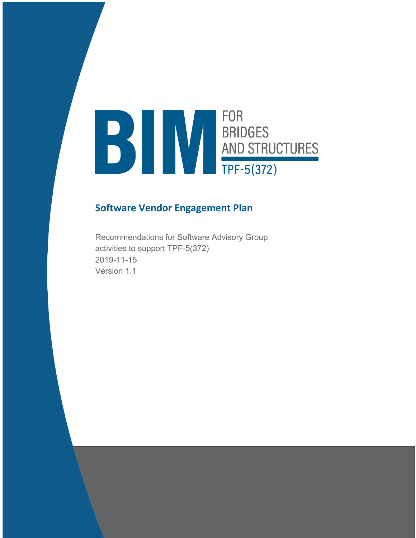# **FOR** FOR<br>BRIDGES<br>AND STRUCTURES<br>TPF-5(372)

# **Software Vendor Engagement Plan**

Recommendations for Software Advisory Group activities to support TPF-5(372) 2019-11-15 Version 1.1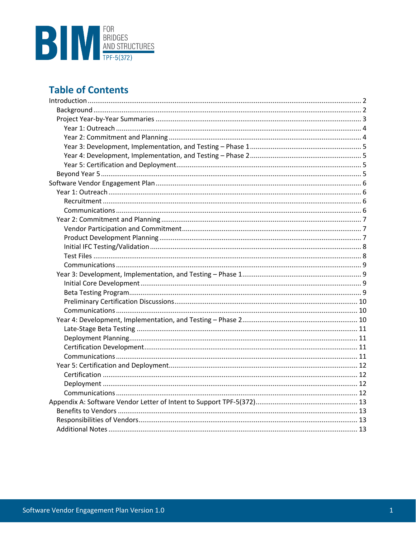

# **Table of Contents**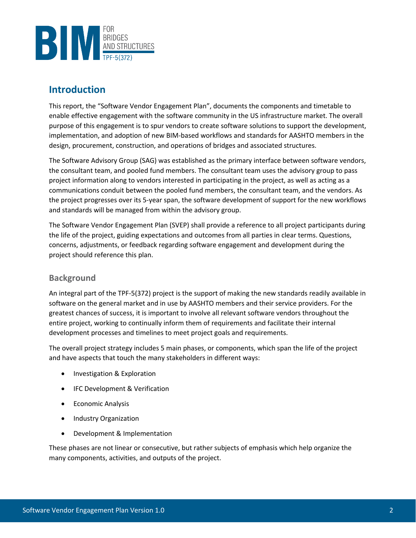

# **Introduction**

This report, the "Software Vendor Engagement Plan", documents the components and timetable to enable effective engagement with the software community in the US infrastructure market. The overall purpose of this engagement is to spur vendors to create software solutions to support the development, implementation, and adoption of new BIM-based workflows and standards for AASHTO members in the design, procurement, construction, and operations of bridges and associated structures.

The Software Advisory Group (SAG) was established as the primary interface between software vendors, the consultant team, and pooled fund members. The consultant team uses the advisory group to pass project information along to vendors interested in participating in the project, as well as acting as a communications conduit between the pooled fund members, the consultant team, and the vendors. As the project progresses over its 5-year span, the software development of support for the new workflows and standards will be managed from within the advisory group.

The Software Vendor Engagement Plan (SVEP) shall provide a reference to all project participants during the life of the project, guiding expectations and outcomes from all parties in clear terms. Questions, concerns, adjustments, or feedback regarding software engagement and development during the project should reference this plan.

## **Background**

An integral part of the TPF-5(372) project is the support of making the new standards readily available in software on the general market and in use by AASHTO members and their service providers. For the greatest chances of success, it is important to involve all relevant software vendors throughout the entire project, working to continually inform them of requirements and facilitate their internal development processes and timelines to meet project goals and requirements.

The overall project strategy includes 5 main phases, or components, which span the life of the project and have aspects that touch the many stakeholders in different ways:

- Investigation & Exploration
- IFC Development & Verification
- Economic Analysis
- Industry Organization
- Development & Implementation

These phases are not linear or consecutive, but rather subjects of emphasis which help organize the many components, activities, and outputs of the project.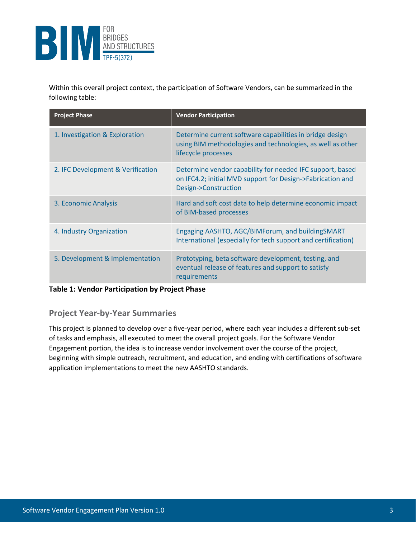

Within this overall project context, the participation of Software Vendors, can be summarized in the following table:

| <b>Project Phase</b>              | <b>Vendor Participation</b>                                                                                                                     |
|-----------------------------------|-------------------------------------------------------------------------------------------------------------------------------------------------|
| 1. Investigation & Exploration    | Determine current software capabilities in bridge design<br>using BIM methodologies and technologies, as well as other<br>lifecycle processes   |
| 2. IFC Development & Verification | Determine vendor capability for needed IFC support, based<br>on IFC4.2; initial MVD support for Design->Fabrication and<br>Design->Construction |
| 3. Economic Analysis              | Hard and soft cost data to help determine economic impact<br>of BIM-based processes                                                             |
| 4. Industry Organization          | Engaging AASHTO, AGC/BIMForum, and buildingSMART<br>International (especially for tech support and certification)                               |
| 5. Development & Implementation   | Prototyping, beta software development, testing, and<br>eventual release of features and support to satisfy<br>requirements                     |

#### **Table 1: Vendor Participation by Project Phase**

## **Project Year-by-Year Summaries**

This project is planned to develop over a five-year period, where each year includes a different sub-set of tasks and emphasis, all executed to meet the overall project goals. For the Software Vendor Engagement portion, the idea is to increase vendor involvement over the course of the project, beginning with simple outreach, recruitment, and education, and ending with certifications of software application implementations to meet the new AASHTO standards.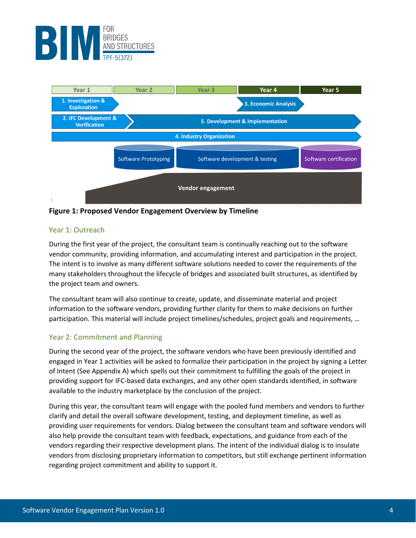



**Figure 1: Proposed Vendor Engagement Overview by Timeline** 

#### Year 1: Outreach

During the first year of the project, the consultant team is continually reaching out to the software vendor community, providing information, and accumulating interest and participation in the project. The intent is to involve as many different software solutions needed to cover the requirements of the many stakeholders throughout the lifecycle of bridges and associated built structures, as identified by the project team and owners.

The consultant team will also continue to create, update, and disseminate material and project information to the software vendors, providing further clarity for them to make decisions on further participation. This material will include project timelines/schedules, project goals and requirements, …

#### Year 2: Commitment and Planning

During the second year of the project, the software vendors who have been previously identified and engaged in Year 1 activities will be asked to formalize their participation in the project by signing a Letter of Intent (See Appendix A) which spells out their commitment to fulfilling the goals of the project in providing support for IFC-based data exchanges, and any other open standards identified, in software available to the industry marketplace by the conclusion of the project.

During this year, the consultant team will engage with the pooled fund members and vendors to further clarify and detail the overall software development, testing, and deployment timeline, as well as providing user requirements for vendors. Dialog between the consultant team and software vendors will also help provide the consultant team with feedback, expectations, and guidance from each of the vendors regarding their respective development plans. The intent of the individual dialog is to insulate vendors from disclosing proprietary information to competitors, but still exchange pertinent information regarding project commitment and ability to support it.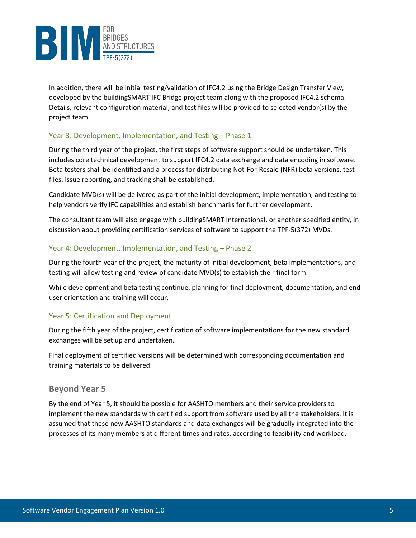

In addition, there will be initial testing/validation of IFC4.2 using the Bridge Design Transfer View, developed by the buildingSMART IFC Bridge project team along with the proposed IFC4.2 schema. Details, relevant configuration material, and test files will be provided to selected vendor(s) by the project team.

#### Year 3: Development, Implementation, and Testing – Phase 1

During the third year of the project, the first steps of software support should be undertaken. This includes core technical development to support IFC4.2 data exchange and data encoding in software. Beta testers shall be identified and a process for distributing Not-For-Resale (NFR) beta versions, test files, issue reporting, and tracking shall be established.

Candidate MVD(s) will be delivered as part of the initial development, implementation, and testing to help vendors verify IFC capabilities and establish benchmarks for further development.

The consultant team will also engage with buildingSMART International, or another specified entity, in discussion about providing certification services of software to support the TPF-5(372) MVDs.

#### Year 4: Development, Implementation, and Testing – Phase 2

During the fourth year of the project, the maturity of initial development, beta implementations, and testing will allow testing and review of candidate MVD(s) to establish their final form.

While development and beta testing continue, planning for final deployment, documentation, and end user orientation and training will occur.

#### Year 5: Certification and Deployment

During the fifth year of the project, certification of software implementations for the new standard exchanges will be set up and undertaken.

Final deployment of certified versions will be determined with corresponding documentation and training materials to be delivered.

#### **Beyond Year 5**

By the end of Year 5, it should be possible for AASHTO members and their service providers to implement the new standards with certified support from software used by all the stakeholders. It is assumed that these new AASHTO standards and data exchanges will be gradually integrated into the processes of its many members at different times and rates, according to feasibility and workload.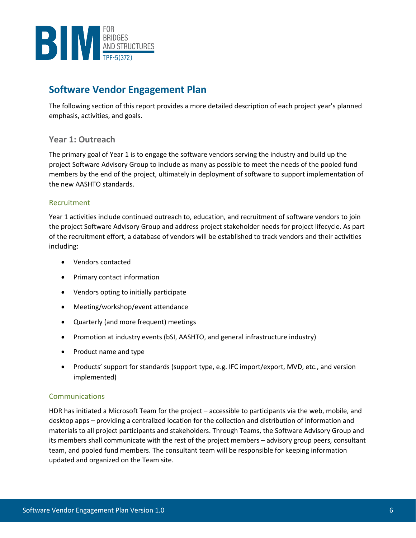

# **Software Vendor Engagement Plan**

The following section of this report provides a more detailed description of each project year's planned emphasis, activities, and goals.

### **Year 1: Outreach**

The primary goal of Year 1 is to engage the software vendors serving the industry and build up the project Software Advisory Group to include as many as possible to meet the needs of the pooled fund members by the end of the project, ultimately in deployment of software to support implementation of the new AASHTO standards.

#### Recruitment

Year 1 activities include continued outreach to, education, and recruitment of software vendors to join the project Software Advisory Group and address project stakeholder needs for project lifecycle. As part of the recruitment effort, a database of vendors will be established to track vendors and their activities including:

- Vendors contacted
- Primary contact information
- Vendors opting to initially participate
- Meeting/workshop/event attendance
- Quarterly (and more frequent) meetings
- Promotion at industry events (bSI, AASHTO, and general infrastructure industry)
- Product name and type
- Products' support for standards (support type, e.g. IFC import/export, MVD, etc., and version implemented)

#### Communications

HDR has initiated a Microsoft Team for the project – accessible to participants via the web, mobile, and desktop apps – providing a centralized location for the collection and distribution of information and materials to all project participants and stakeholders. Through Teams, the Software Advisory Group and its members shall communicate with the rest of the project members – advisory group peers, consultant team, and pooled fund members. The consultant team will be responsible for keeping information updated and organized on the Team site.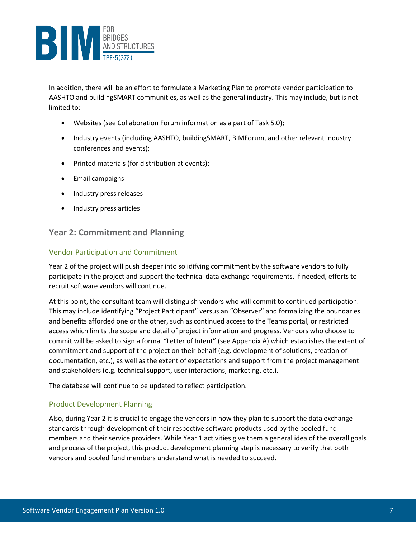

In addition, there will be an effort to formulate a Marketing Plan to promote vendor participation to AASHTO and buildingSMART communities, as well as the general industry. This may include, but is not limited to:

- Websites (see Collaboration Forum information as a part of Task 5.0);
- Industry events (including AASHTO, buildingSMART, BIMForum, and other relevant industry conferences and events);
- Printed materials (for distribution at events);
- Email campaigns
- Industry press releases
- Industry press articles

## **Year 2: Commitment and Planning**

#### Vendor Participation and Commitment

Year 2 of the project will push deeper into solidifying commitment by the software vendors to fully participate in the project and support the technical data exchange requirements. If needed, efforts to recruit software vendors will continue.

At this point, the consultant team will distinguish vendors who will commit to continued participation. This may include identifying "Project Participant" versus an "Observer" and formalizing the boundaries and benefits afforded one or the other, such as continued access to the Teams portal, or restricted access which limits the scope and detail of project information and progress. Vendors who choose to commit will be asked to sign a formal "Letter of Intent" (see Appendix A) which establishes the extent of commitment and support of the project on their behalf (e.g. development of solutions, creation of documentation, etc.), as well as the extent of expectations and support from the project management and stakeholders (e.g. technical support, user interactions, marketing, etc.).

The database will continue to be updated to reflect participation.

#### Product Development Planning

Also, during Year 2 it is crucial to engage the vendors in how they plan to support the data exchange standards through development of their respective software products used by the pooled fund members and their service providers. While Year 1 activities give them a general idea of the overall goals and process of the project, this product development planning step is necessary to verify that both vendors and pooled fund members understand what is needed to succeed.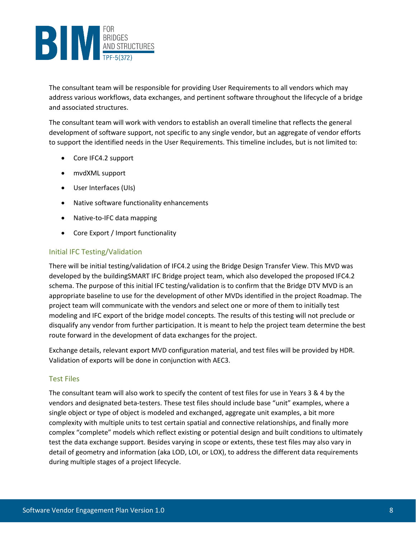

The consultant team will be responsible for providing User Requirements to all vendors which may address various workflows, data exchanges, and pertinent software throughout the lifecycle of a bridge and associated structures.

The consultant team will work with vendors to establish an overall timeline that reflects the general development of software support, not specific to any single vendor, but an aggregate of vendor efforts to support the identified needs in the User Requirements. This timeline includes, but is not limited to:

- Core IFC4.2 support
- mvdXML support
- User Interfaces (UIs)
- Native software functionality enhancements
- Native-to-IFC data mapping
- Core Export / Import functionality

#### Initial IFC Testing/Validation

There will be initial testing/validation of IFC4.2 using the Bridge Design Transfer View. This MVD was developed by the buildingSMART IFC Bridge project team, which also developed the proposed IFC4.2 schema. The purpose of this initial IFC testing/validation is to confirm that the Bridge DTV MVD is an appropriate baseline to use for the development of other MVDs identified in the project Roadmap. The project team will communicate with the vendors and select one or more of them to initially test modeling and IFC export of the bridge model concepts. The results of this testing will not preclude or disqualify any vendor from further participation. It is meant to help the project team determine the best route forward in the development of data exchanges for the project.

Exchange details, relevant export MVD configuration material, and test files will be provided by HDR. Validation of exports will be done in conjunction with AEC3.

#### Test Files

The consultant team will also work to specify the content of test files for use in Years 3 & 4 by the vendors and designated beta-testers. These test files should include base "unit" examples, where a single object or type of object is modeled and exchanged, aggregate unit examples, a bit more complexity with multiple units to test certain spatial and connective relationships, and finally more complex "complete" models which reflect existing or potential design and built conditions to ultimately test the data exchange support. Besides varying in scope or extents, these test files may also vary in detail of geometry and information (aka LOD, LOI, or LOX), to address the different data requirements during multiple stages of a project lifecycle.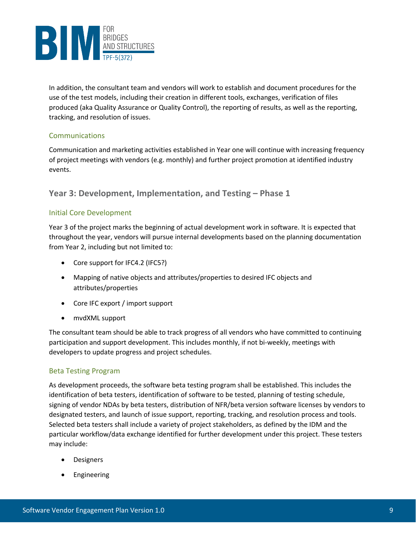

In addition, the consultant team and vendors will work to establish and document procedures for the use of the test models, including their creation in different tools, exchanges, verification of files produced (aka Quality Assurance or Quality Control), the reporting of results, as well as the reporting, tracking, and resolution of issues.

#### Communications

Communication and marketing activities established in Year one will continue with increasing frequency of project meetings with vendors (e.g. monthly) and further project promotion at identified industry events.

## **Year 3: Development, Implementation, and Testing – Phase 1**

#### Initial Core Development

Year 3 of the project marks the beginning of actual development work in software. It is expected that throughout the year, vendors will pursue internal developments based on the planning documentation from Year 2, including but not limited to:

- Core support for IFC4.2 (IFC5?)
- Mapping of native objects and attributes/properties to desired IFC objects and attributes/properties
- Core IFC export / import support
- mvdXML support

The consultant team should be able to track progress of all vendors who have committed to continuing participation and support development. This includes monthly, if not bi-weekly, meetings with developers to update progress and project schedules.

#### Beta Testing Program

As development proceeds, the software beta testing program shall be established. This includes the identification of beta testers, identification of software to be tested, planning of testing schedule, signing of vendor NDAs by beta testers, distribution of NFR/beta version software licenses by vendors to designated testers, and launch of issue support, reporting, tracking, and resolution process and tools. Selected beta testers shall include a variety of project stakeholders, as defined by the IDM and the particular workflow/data exchange identified for further development under this project. These testers may include:

- **Designers**
- **Engineering**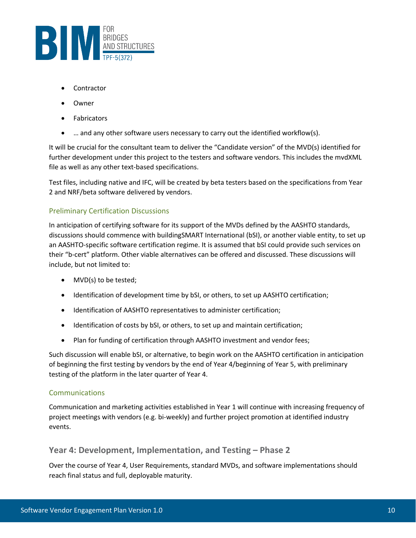

- **Contractor**
- Owner
- Fabricators
- … and any other software users necessary to carry out the identified workflow(s).

It will be crucial for the consultant team to deliver the "Candidate version" of the MVD(s) identified for further development under this project to the testers and software vendors. This includes the mvdXML file as well as any other text-based specifications.

Test files, including native and IFC, will be created by beta testers based on the specifications from Year 2 and NRF/beta software delivered by vendors.

#### Preliminary Certification Discussions

In anticipation of certifying software for its support of the MVDs defined by the AASHTO standards, discussions should commence with buildingSMART International (bSI), or another viable entity, to set up an AASHTO-specific software certification regime. It is assumed that bSI could provide such services on their "b-cert" platform. Other viable alternatives can be offered and discussed. These discussions will include, but not limited to:

- MVD(s) to be tested;
- Identification of development time by bSI, or others, to set up AASHTO certification;
- Identification of AASHTO representatives to administer certification;
- Identification of costs by bSI, or others, to set up and maintain certification;
- Plan for funding of certification through AASHTO investment and vendor fees;

Such discussion will enable bSI, or alternative, to begin work on the AASHTO certification in anticipation of beginning the first testing by vendors by the end of Year 4/beginning of Year 5, with preliminary testing of the platform in the later quarter of Year 4.

#### Communications

Communication and marketing activities established in Year 1 will continue with increasing frequency of project meetings with vendors (e.g. bi-weekly) and further project promotion at identified industry events.

#### **Year 4: Development, Implementation, and Testing – Phase 2**

Over the course of Year 4, User Requirements, standard MVDs, and software implementations should reach final status and full, deployable maturity.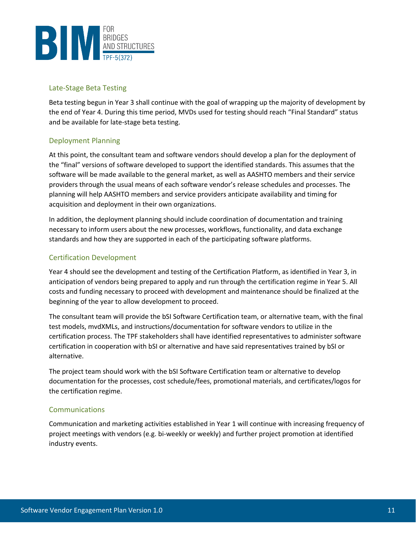

#### Late-Stage Beta Testing

Beta testing begun in Year 3 shall continue with the goal of wrapping up the majority of development by the end of Year 4. During this time period, MVDs used for testing should reach "Final Standard" status and be available for late-stage beta testing.

#### Deployment Planning

At this point, the consultant team and software vendors should develop a plan for the deployment of the "final" versions of software developed to support the identified standards. This assumes that the software will be made available to the general market, as well as AASHTO members and their service providers through the usual means of each software vendor's release schedules and processes. The planning will help AASHTO members and service providers anticipate availability and timing for acquisition and deployment in their own organizations.

In addition, the deployment planning should include coordination of documentation and training necessary to inform users about the new processes, workflows, functionality, and data exchange standards and how they are supported in each of the participating software platforms.

#### Certification Development

Year 4 should see the development and testing of the Certification Platform, as identified in Year 3, in anticipation of vendors being prepared to apply and run through the certification regime in Year 5. All costs and funding necessary to proceed with development and maintenance should be finalized at the beginning of the year to allow development to proceed.

The consultant team will provide the bSI Software Certification team, or alternative team, with the final test models, mvdXMLs, and instructions/documentation for software vendors to utilize in the certification process. The TPF stakeholders shall have identified representatives to administer software certification in cooperation with bSI or alternative and have said representatives trained by bSI or alternative.

The project team should work with the bSI Software Certification team or alternative to develop documentation for the processes, cost schedule/fees, promotional materials, and certificates/logos for the certification regime.

#### Communications

Communication and marketing activities established in Year 1 will continue with increasing frequency of project meetings with vendors (e.g. bi-weekly or weekly) and further project promotion at identified industry events.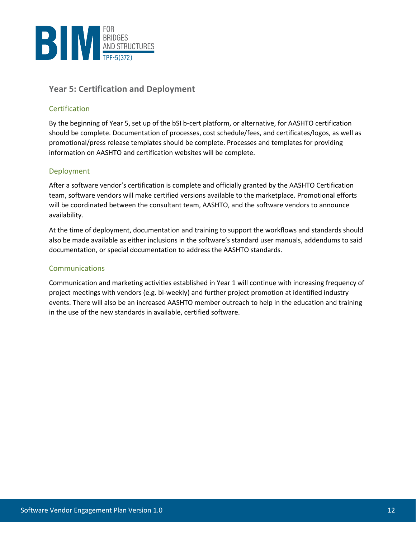

# **Year 5: Certification and Deployment**

#### Certification

By the beginning of Year 5, set up of the bSI b-cert platform, or alternative, for AASHTO certification should be complete. Documentation of processes, cost schedule/fees, and certificates/logos, as well as promotional/press release templates should be complete. Processes and templates for providing information on AASHTO and certification websites will be complete.

#### Deployment

After a software vendor's certification is complete and officially granted by the AASHTO Certification team, software vendors will make certified versions available to the marketplace. Promotional efforts will be coordinated between the consultant team, AASHTO, and the software vendors to announce availability.

At the time of deployment, documentation and training to support the workflows and standards should also be made available as either inclusions in the software's standard user manuals, addendums to said documentation, or special documentation to address the AASHTO standards.

#### Communications

Communication and marketing activities established in Year 1 will continue with increasing frequency of project meetings with vendors (e.g. bi-weekly) and further project promotion at identified industry events. There will also be an increased AASHTO member outreach to help in the education and training in the use of the new standards in available, certified software.